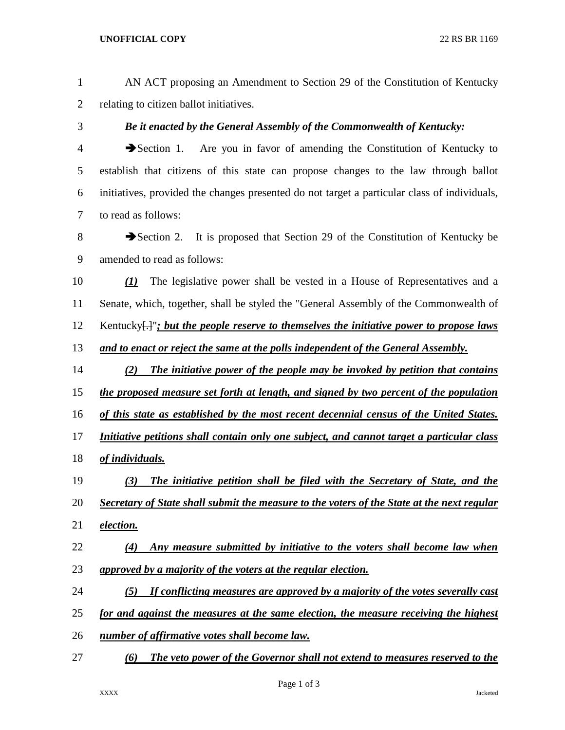## **UNOFFICIAL COPY** 22 RS BR 1169

| 1              | AN ACT proposing an Amendment to Section 29 of the Constitution of Kentucky                                     |
|----------------|-----------------------------------------------------------------------------------------------------------------|
| $\overline{2}$ | relating to citizen ballot initiatives.                                                                         |
| 3              | Be it enacted by the General Assembly of the Commonwealth of Kentucky:                                          |
| 4              | Section 1. Are you in favor of amending the Constitution of Kentucky to                                         |
| 5              | establish that citizens of this state can propose changes to the law through ballot                             |
| 6              | initiatives, provided the changes presented do not target a particular class of individuals,                    |
| 7              | to read as follows:                                                                                             |
| $8\,$          | Section 2. It is proposed that Section 29 of the Constitution of Kentucky be                                    |
| 9              | amended to read as follows:                                                                                     |
| 10             | The legislative power shall be vested in a House of Representatives and a<br>$\bf(1)$                           |
| 11             | Senate, which, together, shall be styled the "General Assembly of the Commonwealth of                           |
| 12             | Kentucky $\left[\frac{1}{2}\right]$ ; but the people reserve to themselves the initiative power to propose laws |
| 13             | and to enact or reject the same at the polls independent of the General Assembly.                               |
| 14             | The initiative power of the people may be invoked by petition that contains<br>(2)                              |
| 15             | the proposed measure set forth at length, and signed by two percent of the population                           |
| 16             | of this state as established by the most recent decennial census of the United States.                          |
| 17             | Initiative petitions shall contain only one subject, and cannot target a particular class                       |
| 18             | of individuals.                                                                                                 |
| 19             | The initiative petition shall be filed with the Secretary of State, and the<br>(3)                              |
| 20             | Secretary of State shall submit the measure to the voters of the State at the next regular                      |
| 21             | election.                                                                                                       |
| 22             | Any measure submitted by initiative to the voters shall become law when<br>$\left( 4\right)$                    |
| 23             | approved by a majority of the voters at the regular election.                                                   |
| 24             | If conflicting measures are approved by a majority of the votes severally cast<br>(5)                           |
| 25             | for and against the measures at the same election, the measure receiving the highest                            |
| 26             | number of affirmative votes shall become law.                                                                   |
| 27             | The veto power of the Governor shall not extend to measures reserved to the<br>(6)                              |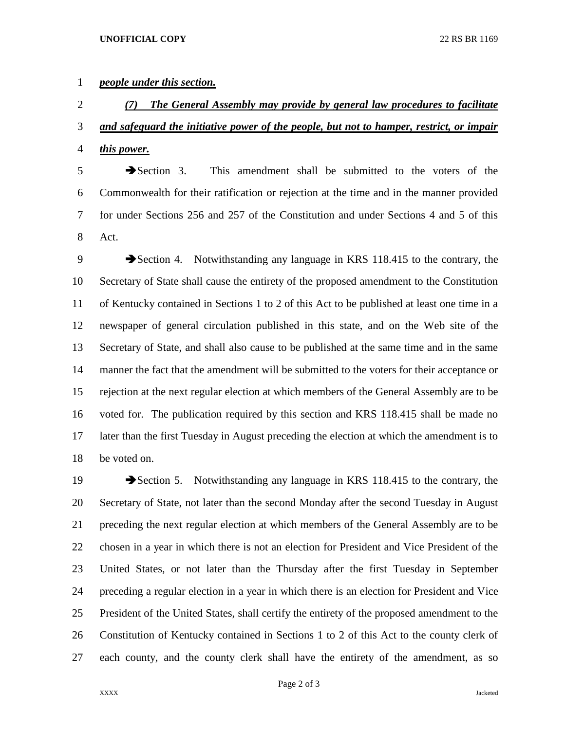## *people under this section.*

 *(7) The General Assembly may provide by general law procedures to facilitate and safeguard the initiative power of the people, but not to hamper, restrict, or impair this power.*

 Section 3. This amendment shall be submitted to the voters of the Commonwealth for their ratification or rejection at the time and in the manner provided for under Sections 256 and 257 of the Constitution and under Sections 4 and 5 of this Act.

9 Section 4. Notwithstanding any language in KRS 118.415 to the contrary, the Secretary of State shall cause the entirety of the proposed amendment to the Constitution of Kentucky contained in Sections 1 to 2 of this Act to be published at least one time in a newspaper of general circulation published in this state, and on the Web site of the Secretary of State, and shall also cause to be published at the same time and in the same manner the fact that the amendment will be submitted to the voters for their acceptance or rejection at the next regular election at which members of the General Assembly are to be voted for. The publication required by this section and KRS 118.415 shall be made no later than the first Tuesday in August preceding the election at which the amendment is to be voted on.

19 Section 5. Notwithstanding any language in KRS 118.415 to the contrary, the Secretary of State, not later than the second Monday after the second Tuesday in August preceding the next regular election at which members of the General Assembly are to be chosen in a year in which there is not an election for President and Vice President of the United States, or not later than the Thursday after the first Tuesday in September preceding a regular election in a year in which there is an election for President and Vice President of the United States, shall certify the entirety of the proposed amendment to the Constitution of Kentucky contained in Sections 1 to 2 of this Act to the county clerk of each county, and the county clerk shall have the entirety of the amendment, as so